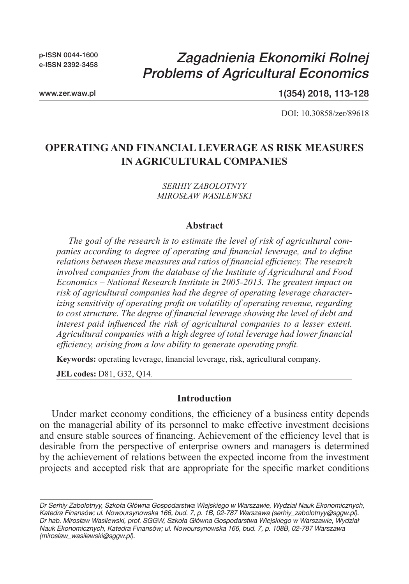p-ISSN 0044-1600 e-ISSN 2392-3458

# *Zagadnienia Ekonomiki Rolnej Problems of Agricultural Economics*

www.zer.waw.pl

1(354) 2018, 113-128

DOI: 10.30858/zer/89618

# **OPERATING AND FINANCIAL LEVERAGE AS RISK MEASURES IN AGRICULTURAL COMPANIES**

*SERHIY ZABOLOTNYY MIROSŁAW WASILEWSKI*

#### **Abstract**

*The goal of the research is to estimate the level of risk of agricultural companies according to degree of operating and financial leverage, and to define relations between these measures and ratios of financial efficiency. The research involved companies from the database of the Institute of Agricultural and Food Economics – National Research Institute in 2005-2013. The greatest impact on risk of agricultural companies had the degree of operating leverage characterizing sensitivity of operating profit on volatility of operating revenue, regarding to cost structure. The degree of financial leverage showing the level of debt and interest paid influenced the risk of agricultural companies to a lesser extent. Agricultural companies with a high degree of total leverage had lower financial efficiency, arising from a low ability to generate operating profit.*

**Keywords:** operating leverage, financial leverage, risk, agricultural company.

**JEL codes:** D81, G32, Q14.

#### **Introduction**

Under market economy conditions, the efficiency of a business entity depends on the managerial ability of its personnel to make effective investment decisions and ensure stable sources of financing. Achievement of the efficiency level that is desirable from the perspective of enterprise owners and managers is determined by the achievement of relations between the expected income from the investment projects and accepted risk that are appropriate for the specific market conditions

*Dr Serhiy Zabolotnyy, Szkoła Główna Gospodarstwa Wiejskiego w Warszawie, Wydział Nauk Ekonomicznych, Katedra Finansów; ul. Nowoursynowska 166, bud. 7, p. 1B, 02-787 Warszawa (serhiy\_zabolotnyy@sggw.pl). Dr hab. Mirosław Wasilewski, prof. SGGW, Szkoła Główna Gospodarstwa Wiejskiego w Warszawie, Wydział Nauk Ekonomicznych, Katedra Finansów; ul. Nowoursynowska 166, bud. 7, p. 108B, 02-787 Warszawa (miroslaw\_wasilewski@sggw.pl).*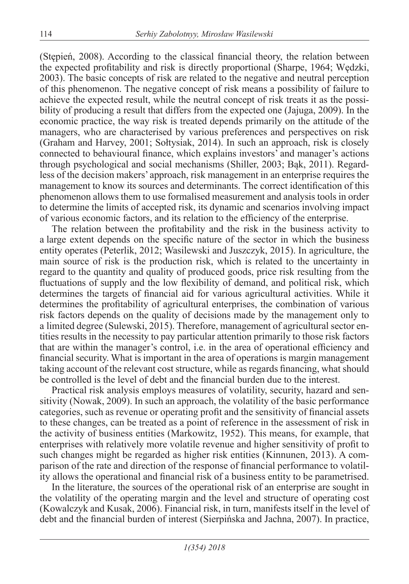(Stępień, 2008). According to the classical financial theory, the relation between the expected profitability and risk is directly proportional (Sharpe, 1964; Wędzki, 2003). The basic concepts of risk are related to the negative and neutral perception of this phenomenon. The negative concept of risk means a possibility of failure to achieve the expected result, while the neutral concept of risk treats it as the possibility of producing a result that differs from the expected one (Jajuga, 2009). In the economic practice, the way risk is treated depends primarily on the attitude of the managers, who are characterised by various preferences and perspectives on risk (Graham and Harvey, 2001; Sołtysiak, 2014). In such an approach, risk is closely connected to behavioural finance, which explains investors' and manager's actions through psychological and social mechanisms (Shiller, 2003; Bąk, 2011). Regardless of the decision makers' approach, risk management in an enterprise requires the management to know its sources and determinants. The correct identification of this phenomenon allows them to use formalised measurement and analysis tools in order to determine the limits of accepted risk, its dynamic and scenarios involving impact of various economic factors, and its relation to the efficiency of the enterprise.

The relation between the profitability and the risk in the business activity to a large extent depends on the specific nature of the sector in which the business entity operates (Peterlik, 2012; Wasilewski and Juszczyk, 2015). In agriculture, the main source of risk is the production risk, which is related to the uncertainty in regard to the quantity and quality of produced goods, price risk resulting from the fluctuations of supply and the low flexibility of demand, and political risk, which determines the targets of financial aid for various agricultural activities. While it determines the profitability of agricultural enterprises, the combination of various risk factors depends on the quality of decisions made by the management only to a limited degree (Sulewski, 2015). Therefore, management of agricultural sector entities results in the necessity to pay particular attention primarily to those risk factors that are within the manager's control, i.e. in the area of operational efficiency and financial security. What is important in the area of operations is margin management taking account of the relevant cost structure, while as regards financing, what should be controlled is the level of debt and the financial burden due to the interest.

Practical risk analysis employs measures of volatility, security, hazard and sensitivity (Nowak, 2009). In such an approach, the volatility of the basic performance categories, such as revenue or operating profit and the sensitivity of financial assets to these changes, can be treated as a point of reference in the assessment of risk in the activity of business entities (Markowitz, 1952). This means, for example, that enterprises with relatively more volatile revenue and higher sensitivity of profit to such changes might be regarded as higher risk entities (Kinnunen, 2013). A comparison of the rate and direction of the response of financial performance to volatility allows the operational and financial risk of a business entity to be parametrised.

In the literature, the sources of the operational risk of an enterprise are sought in the volatility of the operating margin and the level and structure of operating cost (Kowalczyk and Kusak, 2006). Financial risk, in turn, manifests itself in the level of debt and the financial burden of interest (Sierpińska and Jachna, 2007). In practice,

*1(354) 2018*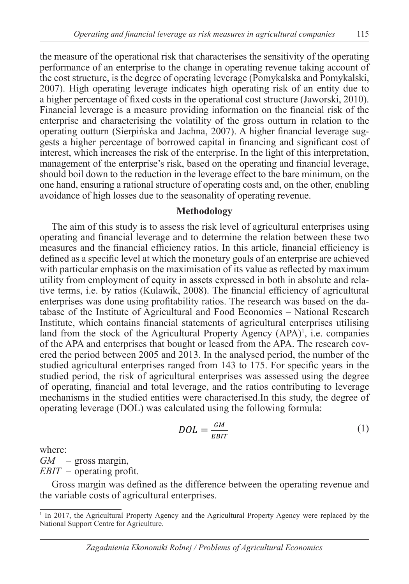the measure of the operational risk that characterises the sensitivity of the operating performance of an enterprise to the change in operating revenue taking account of the cost structure, is the degree of operating leverage (Pomykalska and Pomykalski, 2007). High operating leverage indicates high operating risk of an entity due to a higher percentage of fixed costs in the operational cost structure (Jaworski, 2010). Financial leverage is a measure providing information on the financial risk of the enterprise and characterising the volatility of the gross outturn in relation to the operating outturn (Sierpińska and Jachna, 2007). A higher financial leverage suggests a higher percentage of borrowed capital in financing and significant cost of interest, which increases the risk of the enterprise. In the light of this interpretation,

management of the enterprise's risk, based on the operating and financial leverage, should boil down to the reduction in the leverage effect to the bare minimum, on the one hand, ensuring a rational structure of operating costs and, on the other, enabling avoidance of high losses due to the seasonality of operating revenue.

### **Methodology**

The aim of this study is to assess the risk level of agricultural enterprises using operating and financial leverage and to determine the relation between these two measures and the financial efficiency ratios. In this article, financial efficiency is defined as a specific level at which the monetary goals of an enterprise are achieved with particular emphasis on the maximisation of its value as reflected by maximum utility from employment of equity in assets expressed in both in absolute and relative terms, i.e. by ratios (Kulawik, 2008). The financial efficiency of agricultural enterprises was done using profitability ratios. The research was based on the database of the Institute of Agricultural and Food Economics – National Research Institute, which contains financial statements of agricultural enterprises utilising land from the stock of the Agricultural Property Agency (APA)<sup>1</sup>, i.e. companies of the APA and enterprises that bought or leased from the APA. The research covered the period between 2005 and 2013. In the analysed period, the number of the studied agricultural enterprises ranged from 143 to 175. For specific years in the studied period, the risk of agricultural enterprises was assessed using the degree of operating, financial and total leverage, and the ratios contributing to leverage mechanisms in the studied entities were characterised.In this study, the degree of operating leverage (DOL) was calculated using the following formula:

$$
DOL = \frac{GM}{EBIT} \tag{1}
$$

where:

*GM* – gross margin,

*EBIT* – operating profit.

Gross margin was defined as the difference between the operating revenue and the variable costs of agricultural enterprises.

<sup>&</sup>lt;sup>1</sup> In 2017, the Agricultural Property Agency and the Agricultural Property Agency were replaced by the National Support Centre for Agriculture.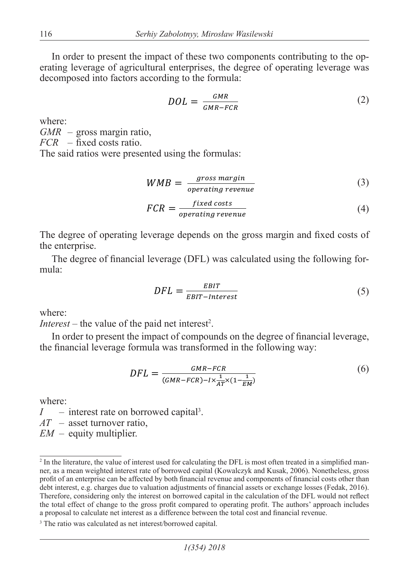In order to present the impact of these two components contributing to the operating leverage of agricultural enterprises, the degree of operating leverage was decomposed into factors according to the formula:

$$
DOL = \frac{GMR}{GMR - FCR} \tag{2}
$$

where:

*GMR* – gross margin ratio,

*FCR* – fixed costs ratio.

The said ratios were presented using the formulas:

$$
WMB = \frac{gross\,}{operating\, revenue} \tag{3}
$$

$$
FCR = \frac{fixed\ costs}{operating\ revenue} \tag{4}
$$

The degree of operating leverage depends on the gross margin and fixed costs of the enterprise.

The degree of financial leverage (DFL) was calculated using the following formula:

$$
DFL = \frac{EBIT}{EBIT-Interest} \tag{5}
$$

where:

*Interest* – the value of the paid net interest<sup>2</sup>.

In order to present the impact of compounds on the degree of financial leverage, the financial leverage formula was transformed in the following way:

$$
DFL = \frac{GMR - FCR}{(GMR - FCR) - I \times \frac{1}{AT} \times (1 - \frac{1}{EM})}
$$
(6)

where:

 $I$  – interest rate on borrowed capital<sup>3</sup>.

*AT* – asset turnover ratio,

*EM* – equity multiplier.

<sup>&</sup>lt;sup>2</sup> In the literature, the value of interest used for calculating the DFL is most often treated in a simplified manner, as a mean weighted interest rate of borrowed capital (Kowalczyk and Kusak, 2006). Nonetheless, gross profit of an enterprise can be affected by both financial revenue and components of financial costs other than debt interest, e.g. charges due to valuation adjustments of financial assets or exchange losses (Fedak, 2016). Therefore, considering only the interest on borrowed capital in the calculation of the DFL would not reflect the total effect of change to the gross profit compared to operating profit. The authors' approach includes a proposal to calculate net interest as a difference between the total cost and financial revenue.

<sup>&</sup>lt;sup>3</sup> The ratio was calculated as net interest/borrowed capital.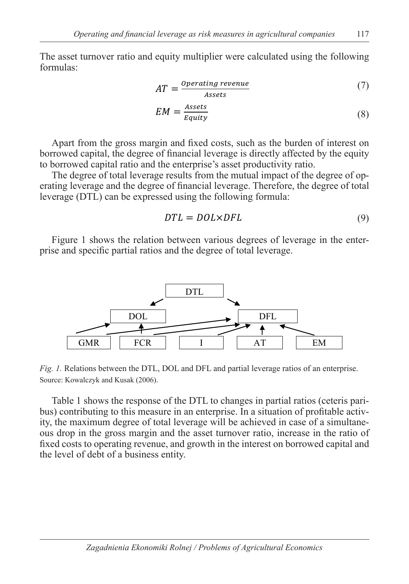The asset turnover ratio and equity multiplier were calculated using the following formulas:

$$
AT = \frac{Operating\,\, revenue}{Assets} \tag{7}
$$

$$
EM = \frac{Assets}{Equity} \tag{8}
$$

Apart from the gross margin and fixed costs, such as the burden of interest on borrowed capital, the degree of financial leverage is directly affected by the equity to borrowed capital ratio and the enterprise's asset productivity ratio.

The degree of total leverage results from the mutual impact of the degree of operating leverage and the degree of financial leverage. Therefore, the degree of total leverage (DTL) can be expressed using the following formula:

$$
DTL = DOL \times DFL \tag{9}
$$

Figure 1 shows the relation between various degrees of leverage in the enterprise and specific partial ratios and the degree of total leverage.



*Fig. 1.* Relations between the DTL, DOL and DFL and partial leverage ratios of an enterprise. Source: Kowalczyk and Kusak (2006).

Table 1 shows the response of the DTL to changes in partial ratios (ceteris paribus) contributing to this measure in an enterprise. In a situation of profitable activity, the maximum degree of total leverage will be achieved in case of a simultaneous drop in the gross margin and the asset turnover ratio, increase in the ratio of fixed costs to operating revenue, and growth in the interest on borrowed capital and the level of debt of a business entity.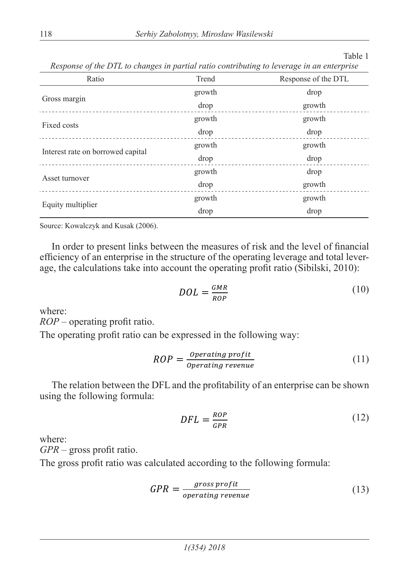#### Table 1

*Response of the DTL to changes in partial ratio contributing to leverage in an enterprise*

| Ratio                             | Trend  | Response of the DTL |  |  |
|-----------------------------------|--------|---------------------|--|--|
|                                   | growth | drop                |  |  |
| Gross margin                      | drop   | growth              |  |  |
| Fixed costs                       | growth | growth              |  |  |
|                                   | drop   | drop                |  |  |
|                                   | growth | growth              |  |  |
| Interest rate on borrowed capital | drop   | drop                |  |  |
|                                   | growth | drop                |  |  |
| Asset turnover                    | drop   | growth              |  |  |
|                                   | growth | growth              |  |  |
| Equity multiplier                 | drop   | drop                |  |  |

Source: Kowalczyk and Kusak (2006).

In order to present links between the measures of risk and the level of financial efficiency of an enterprise in the structure of the operating leverage and total leverage, the calculations take into account the operating profit ratio (Sibilski, 2010):

$$
DOL = \frac{GMR}{ROP}
$$
 (10)

where:

*ROP* – operating profit ratio.

The operating profit ratio can be expressed in the following way:

$$
ROP = \frac{Operating\ profit}{Operating\ revenue} \tag{11}
$$

The relation between the DFL and the profitability of an enterprise can be shown using the following formula:

$$
DFL = \frac{ROP}{GPR} \tag{12}
$$

where:

*GPR* – gross profit ratio.

The gross profit ratio was calculated according to the following formula:

$$
GPR = \frac{gross\, profit}{operating\, revenue} \tag{13}
$$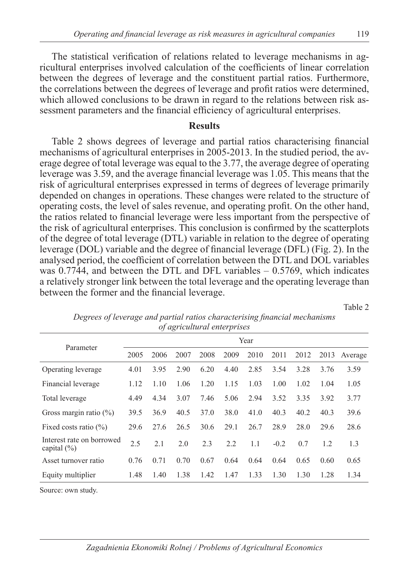The statistical verification of relations related to leverage mechanisms in agricultural enterprises involved calculation of the coefficients of linear correlation between the degrees of leverage and the constituent partial ratios. Furthermore, the correlations between the degrees of leverage and profit ratios were determined, which allowed conclusions to be drawn in regard to the relations between risk assessment parameters and the financial efficiency of agricultural enterprises.

#### **Results**

Table 2 shows degrees of leverage and partial ratios characterising financial mechanisms of agricultural enterprises in 2005-2013. In the studied period, the average degree of total leverage was equal to the 3.77, the average degree of operating leverage was 3.59, and the average financial leverage was 1.05. This means that the risk of agricultural enterprises expressed in terms of degrees of leverage primarily depended on changes in operations. These changes were related to the structure of operating costs, the level of sales revenue, and operating profit. On the other hand, the ratios related to financial leverage were less important from the perspective of the risk of agricultural enterprises. This conclusion is confirmed by the scatterplots of the degree of total leverage (DTL) variable in relation to the degree of operating leverage (DOL) variable and the degree of financial leverage (DFL) (Fig. 2). In the analysed period, the coefficient of correlation between the DTL and DOL variables was  $0.7744$ , and between the DTL and DFL variables  $-0.5769$ , which indicates a relatively stronger link between the total leverage and the operating leverage than between the former and the financial leverage.

Table 2

|                                              | Year |      |      |      |      |      |        |      |      |         |
|----------------------------------------------|------|------|------|------|------|------|--------|------|------|---------|
| Parameter                                    | 2005 | 2006 | 2007 | 2008 | 2009 | 2010 | 2011   | 2012 | 2013 | Average |
| Operating leverage                           | 4.01 | 3.95 | 2.90 | 6.20 | 4.40 | 2.85 | 3.54   | 3.28 | 3.76 | 3.59    |
| Financial leverage                           | 1.12 | 1.10 | 1.06 | 1.20 | 1.15 | 1.03 | 1.00   | 1.02 | 1.04 | 1.05    |
| Total leverage                               | 4.49 | 4.34 | 3.07 | 7.46 | 5.06 | 2.94 | 3.52   | 3.35 | 3.92 | 3.77    |
| Gross margin ratio $(\%)$                    | 39.5 | 36.9 | 40.5 | 37.0 | 38.0 | 41.0 | 40.3   | 40.2 | 40.3 | 39.6    |
| Fixed costs ratio $(\%)$                     | 29.6 | 27.6 | 26.5 | 30.6 | 29.1 | 26.7 | 28.9   | 28.0 | 29.6 | 28.6    |
| Interest rate on borrowed<br>capital $(\% )$ | 2.5  | 2.1  | 2.0  | 2.3  | 2.2  | 1.1  | $-0.2$ | 0.7  | 1.2  | 1.3     |
| Asset turnover ratio                         | 0.76 | 0.71 | 0.70 | 0.67 | 0.64 | 0.64 | 0.64   | 0.65 | 0.60 | 0.65    |
| Equity multiplier                            | 1.48 | 1.40 | 1.38 | 1.42 | 1.47 | 1.33 | 1.30   | 1.30 | 1.28 | 1.34    |

*Degrees of leverage and partial ratios characterising financial mechanisms of agricultural enterprises*

Source: own study.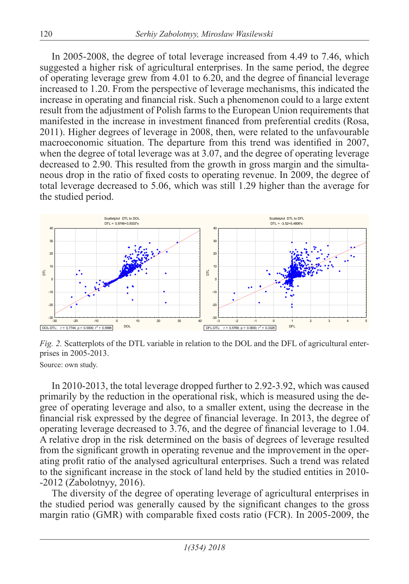In 2005-2008, the degree of total leverage increased from 4.49 to 7.46, which suggested a higher risk of agricultural enterprises. In the same period, the degree of operating leverage grew from 4.01 to 6.20, and the degree of financial leverage increased to 1.20. From the perspective of leverage mechanisms, this indicated the increase in operating and financial risk. Such a phenomenon could to a large extent result from the adjustment of Polish farms to the European Union requirements that manifested in the increase in investment financed from preferential credits (Rosa, 2011). Higher degrees of leverage in 2008, then, were related to the unfavourable macroeconomic situation. The departure from this trend was identified in 2007, when the degree of total leverage was at 3.07, and the degree of operating leverage decreased to 2.90. This resulted from the growth in gross margin and the simultaneous drop in the ratio of fixed costs to operating revenue. In 2009, the degree of total leverage decreased to 5.06, which was still 1.29 higher than the average for the studied period.



*Fig. 2.* Scatterplots of the DTL variable in relation to the DOL and the DFL of agricultural enterprises in 2005-2013.

Source: own study.

In 2010-2013, the total leverage dropped further to 2.92-3.92, which was caused primarily by the reduction in the operational risk, which is measured using the degree of operating leverage and also, to a smaller extent, using the decrease in the financial risk expressed by the degree of financial leverage. In 2013, the degree of operating leverage decreased to 3.76, and the degree of financial leverage to 1.04. A relative drop in the risk determined on the basis of degrees of leverage resulted from the significant growth in operating revenue and the improvement in the operating profit ratio of the analysed agricultural enterprises. Such a trend was related to the significant increase in the stock of land held by the studied entities in 2010- -2012 (Zabolotnyy, 2016).

The diversity of the degree of operating leverage of agricultural enterprises in the studied period was generally caused by the significant changes to the gross margin ratio (GMR) with comparable fixed costs ratio (FCR). In 2005-2009, the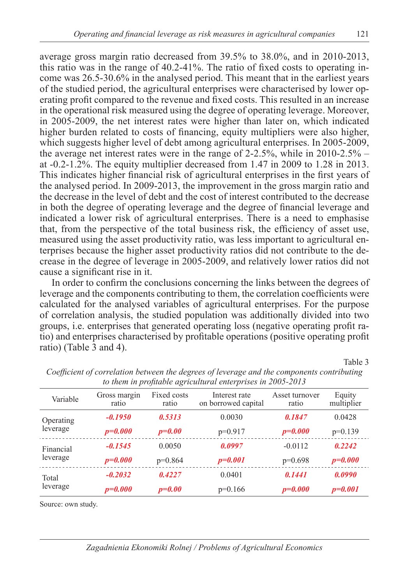average gross margin ratio decreased from 39.5% to 38.0%, and in 2010-2013, this ratio was in the range of 40.2-41%. The ratio of fixed costs to operating income was 26.5-30.6% in the analysed period. This meant that in the earliest years of the studied period, the agricultural enterprises were characterised by lower operating profit compared to the revenue and fixed costs. This resulted in an increase in the operational risk measured using the degree of operating leverage. Moreover, in 2005-2009, the net interest rates were higher than later on, which indicated higher burden related to costs of financing, equity multipliers were also higher, which suggests higher level of debt among agricultural enterprises. In 2005-2009, the average net interest rates were in the range of 2-2.5%, while in 2010-2.5% – at -0.2-1.2%. The equity multiplier decreased from 1.47 in 2009 to 1.28 in 2013. This indicates higher financial risk of agricultural enterprises in the first years of the analysed period. In 2009-2013, the improvement in the gross margin ratio and the decrease in the level of debt and the cost of interest contributed to the decrease in both the degree of operating leverage and the degree of financial leverage and indicated a lower risk of agricultural enterprises. There is a need to emphasise that, from the perspective of the total business risk, the efficiency of asset use, measured using the asset productivity ratio, was less important to agricultural enterprises because the higher asset productivity ratios did not contribute to the decrease in the degree of leverage in 2005-2009, and relatively lower ratios did not cause a significant rise in it.

In order to confirm the conclusions concerning the links between the degrees of leverage and the components contributing to them, the correlation coefficients were calculated for the analysed variables of agricultural enterprises. For the purpose of correlation analysis, the studied population was additionally divided into two groups, i.e. enterprises that generated operating loss (negative operating profit ratio) and enterprises characterised by profitable operations (positive operating profit ratio) (Table 3 and 4).

Table 3

| to them in profitable agricultural enterprises in 2005-2015 |                       |                                                              |             |                         |                      |  |  |  |  |
|-------------------------------------------------------------|-----------------------|--------------------------------------------------------------|-------------|-------------------------|----------------------|--|--|--|--|
| Variable                                                    | Gross margin<br>ratio | Fixed costs<br>Interest rate<br>on borrowed capital<br>ratio |             | Asset turnover<br>ratio | Equity<br>multiplier |  |  |  |  |
| Operating                                                   | $-0.1950$             | 0.5313                                                       | 0.0030      | 0.1847                  | 0.0428               |  |  |  |  |
| leverage                                                    | $p = 0.000$           | $p=0.00$                                                     | $p=0.917$   | $p = 0.000$             | $p=0.139$            |  |  |  |  |
| Financial<br>leverage                                       | $-0.1545$             | 0.0050                                                       | 0.0997      | $-0.0112$               | 0.2242               |  |  |  |  |
|                                                             | $p=0.000$             | $p=0.864$                                                    | $p = 0.001$ | $p=0.698$               | $p = 0.000$          |  |  |  |  |
| Total<br>leverage                                           | $-0.2032$             | 0.4227                                                       | 0.0401      | 0.1441                  | 0.0990               |  |  |  |  |
|                                                             | $p = 0.000$           | $p=0.00$                                                     | $p=0.166$   | $p = 0.000$             | $p = 0.001$          |  |  |  |  |

*Coefficient of correlation between the degrees of leverage and the components contributing to them in profitable agricultural enterprises in 2005-2013*

Source: own study.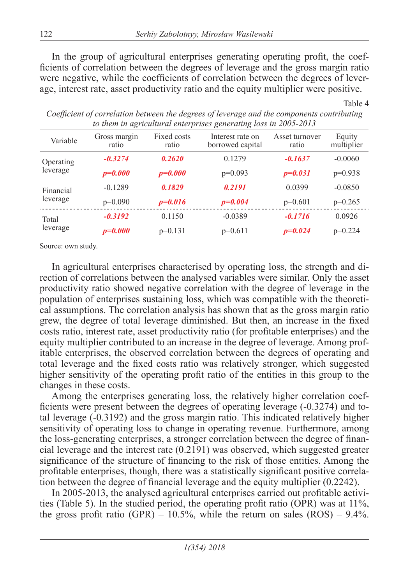In the group of agricultural enterprises generating operating profit, the coefficients of correlation between the degrees of leverage and the gross margin ratio were negative, while the coefficients of correlation between the degrees of leverage, interest rate, asset productivity ratio and the equity multiplier were positive.

| $\sim$ them in which the choice $\rho$ to $\infty$ keep the many tool in $\equiv$ 0.00 $\equiv$ 0.15 |                       |                      |                                      |                         |                      |  |  |  |  |
|------------------------------------------------------------------------------------------------------|-----------------------|----------------------|--------------------------------------|-------------------------|----------------------|--|--|--|--|
| Variable                                                                                             | Gross margin<br>ratio | Fixed costs<br>ratio | Interest rate on<br>borrowed capital | Asset turnover<br>ratio | Equity<br>multiplier |  |  |  |  |
| Operating<br>leverage                                                                                | $-0.3274$             | 0.2620               | 0.1279                               | $-0.1637$               | $-0.0060$            |  |  |  |  |
|                                                                                                      | $p=0.000$             | $p = 0.000$          | $p=0.093$                            | $p = 0.031$             | $p=0.938$            |  |  |  |  |
| Financial<br>leverage                                                                                | $-0.1289$             | 0.1829               | 0.2191                               | 0.0399                  | $-0.0850$            |  |  |  |  |
|                                                                                                      | $p=0.090$             | $p = 0.016$          | $p = 0.004$                          | $p=0.601$               | $p=0.265$            |  |  |  |  |
| Total<br>leverage                                                                                    | $-0.3192$             | 0.1150               | $-0.0389$                            | $-0.1716$               | 0.0926               |  |  |  |  |
|                                                                                                      | $p=0.000$             | $p=0.131$            | $p=0.611$                            | $p=0.024$               | $p=0.224$            |  |  |  |  |

*Coefficient of correlation between the degrees of leverage and the components contributing to them in agricultural enterprises generating loss in 2005-2013*

Table 4

Source: own study.

In agricultural enterprises characterised by operating loss, the strength and direction of correlations between the analysed variables were similar. Only the asset productivity ratio showed negative correlation with the degree of leverage in the population of enterprises sustaining loss, which was compatible with the theoretical assumptions. The correlation analysis has shown that as the gross margin ratio grew, the degree of total leverage diminished. But then, an increase in the fixed costs ratio, interest rate, asset productivity ratio (for profitable enterprises) and the equity multiplier contributed to an increase in the degree of leverage. Among profitable enterprises, the observed correlation between the degrees of operating and total leverage and the fixed costs ratio was relatively stronger, which suggested higher sensitivity of the operating profit ratio of the entities in this group to the changes in these costs.

Among the enterprises generating loss, the relatively higher correlation coefficients were present between the degrees of operating leverage (-0.3274) and total leverage (-0.3192) and the gross margin ratio. This indicated relatively higher sensitivity of operating loss to change in operating revenue. Furthermore, among the loss-generating enterprises, a stronger correlation between the degree of financial leverage and the interest rate (0.2191) was observed, which suggested greater significance of the structure of financing to the risk of those entities. Among the profitable enterprises, though, there was a statistically significant positive correlation between the degree of financial leverage and the equity multiplier (0.2242).

In 2005-2013, the analysed agricultural enterprises carried out profitable activities (Table 5). In the studied period, the operating profit ratio (OPR) was at 11%, the gross profit ratio (GPR) – 10.5%, while the return on sales (ROS) – 9.4%.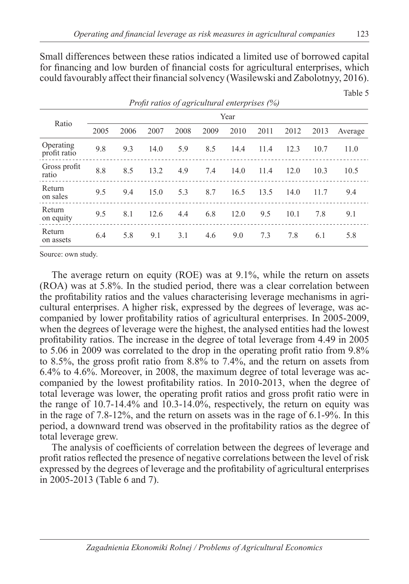Small differences between these ratios indicated a limited use of borrowed capital for financing and low burden of financial costs for agricultural enterprises, which could favourably affect their financial solvency (Wasilewski and Zabolotnyy, 2016).

|                           |      |      |      | <i>Profit ratios of agricultural enterprises (%)</i> |      |      |      |      |      |         |
|---------------------------|------|------|------|------------------------------------------------------|------|------|------|------|------|---------|
|                           | Year |      |      |                                                      |      |      |      |      |      |         |
| Ratio                     | 2005 | 2006 | 2007 | 2008                                                 | 2009 | 2010 | 2011 | 2012 | 2013 | Average |
| Operating<br>profit ratio | 9.8  | 9.3  | 14.0 | 5.9                                                  | 8.5  | 14.4 | 11.4 | 12.3 | 10.7 | 11.0    |
| Gross profit<br>ratio     | 8.8  | 8.5  | 13.2 | 4.9                                                  | 7.4  | 14.0 | 11.4 | 12.0 | 10.3 | 10.5    |
| Return<br>on sales        | 9.5  | 9.4  | 15.0 | 5.3                                                  | 8.7  | 16.5 | 13.5 | 14.0 | 11.7 | 9.4     |
| Return<br>on equity       | 9.5  | 8.1  | 12.6 | 4.4                                                  | 6.8  | 12.0 | 9.5  | 10.1 | 7.8  | 9.1     |
| Return<br>on assets       | 6.4  | 5.8  | 9.1  | 3.1                                                  | 4.6  | 9.0  | 7.3  | 7.8  | 6.1  | 5.8     |

Source: own study.

The average return on equity (ROE) was at 9.1%, while the return on assets (ROA) was at 5.8%. In the studied period, there was a clear correlation between the profitability ratios and the values characterising leverage mechanisms in agricultural enterprises. A higher risk, expressed by the degrees of leverage, was accompanied by lower profitability ratios of agricultural enterprises. In 2005-2009, when the degrees of leverage were the highest, the analysed entities had the lowest profitability ratios. The increase in the degree of total leverage from 4.49 in 2005 to 5.06 in 2009 was correlated to the drop in the operating profit ratio from 9.8% to 8.5%, the gross profit ratio from 8.8% to 7.4%, and the return on assets from 6.4% to 4.6%. Moreover, in 2008, the maximum degree of total leverage was accompanied by the lowest profitability ratios. In 2010-2013, when the degree of total leverage was lower, the operating profit ratios and gross profit ratio were in the range of 10.7-14.4% and 10.3-14.0%, respectively, the return on equity was in the rage of 7.8-12%, and the return on assets was in the rage of 6.1-9%. In this period, a downward trend was observed in the profitability ratios as the degree of total leverage grew.

The analysis of coefficients of correlation between the degrees of leverage and profit ratios reflected the presence of negative correlations between the level of risk expressed by the degrees of leverage and the profitability of agricultural enterprises in 2005-2013 (Table 6 and 7).

Table 5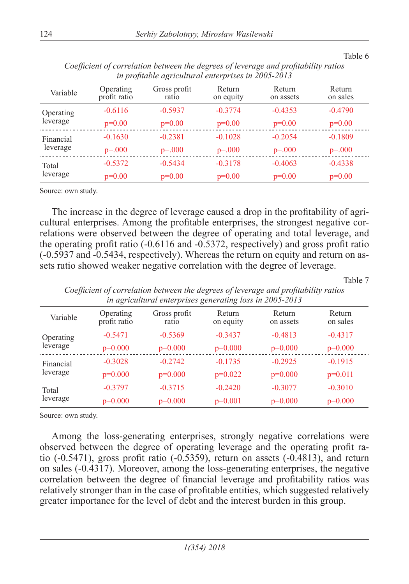| in profitable agricultural enterprises in 2005-2013 |                           |                       |                     |                     |                    |  |  |  |
|-----------------------------------------------------|---------------------------|-----------------------|---------------------|---------------------|--------------------|--|--|--|
| Variable                                            | Operating<br>profit ratio | Gross profit<br>ratio | Return<br>on equity | Return<br>on assets | Return<br>on sales |  |  |  |
| Operating                                           | $-0.6116$                 | $-0.5937$             | $-0.3774$           | $-0.4353$           | $-0.4790$          |  |  |  |
| leverage                                            | $p=0.00$                  | $p=0.00$              | $p=0.00$            | $p=0.00$            | $p=0.00$           |  |  |  |
| Financial<br>leverage                               | $-0.1630$                 | $-0.2381$             | $-0.1028$           | $-0.2054$           | $-0.1809$          |  |  |  |
|                                                     | $p = 000$                 | $p = 000$             | $p=.000$            | $p = 000$           | $p=.000$           |  |  |  |
| Total<br>leverage                                   | $-0.5372$                 | $-0.5434$             | $-0.3178$           | $-0.4063$           | $-0.4338$          |  |  |  |
|                                                     | $p=0.00$                  | $p=0.00$              | $p=0.00$            | $p=0.00$            | $p=0.00$           |  |  |  |

*Coefficient of correlation between the degrees of leverage and profitability ratios in profitable agricultural enterprises in 2005-2013*

Source: own study.

The increase in the degree of leverage caused a drop in the profitability of agricultural enterprises. Among the profitable enterprises, the strongest negative correlations were observed between the degree of operating and total leverage, and the operating profit ratio (-0.6116 and -0.5372, respectively) and gross profit ratio (-0.5937 and -0.5434, respectively). Whereas the return on equity and return on assets ratio showed weaker negative correlation with the degree of leverage.

Table 7

Table 6

*Coefficient of correlation between the degrees of leverage and profitability ratios in agricultural enterprises generating loss in 2005-2013* Variable Operating profit ratio Gross profit ratio Return on equity Return on assets Return on sales Operating leverage -0.5471 -0.5369 -0.3437 -0.4813 -0.4317 p=0.000 p=0.000 p=0.000 p=0.000 p=0.000 Financial leverage -0.3028 -0.2742 -0.1735 -0.2925 -0.1915 p=0.000 p=0.000 p=0.022 p=0.000 p=0.011

> -0.3797 -0.3715 -0.2420 -0.3077 -0.3010 p=0.000 p=0.000 p=0.001 p=0.000 p=0.000

Source: own study.

Total leverage

Among the loss-generating enterprises, strongly negative correlations were observed between the degree of operating leverage and the operating profit ratio (-0.5471), gross profit ratio (-0.5359), return on assets (-0.4813), and return on sales (-0.4317). Moreover, among the loss-generating enterprises, the negative correlation between the degree of financial leverage and profitability ratios was relatively stronger than in the case of profitable entities, which suggested relatively greater importance for the level of debt and the interest burden in this group.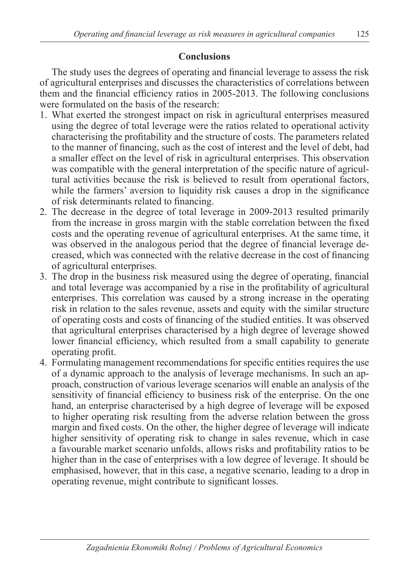## **Conclusions**

The study uses the degrees of operating and financial leverage to assess the risk of agricultural enterprises and discusses the characteristics of correlations between them and the financial efficiency ratios in 2005-2013. The following conclusions were formulated on the basis of the research:

- 1. What exerted the strongest impact on risk in agricultural enterprises measured using the degree of total leverage were the ratios related to operational activity characterising the profitability and the structure of costs. The parameters related to the manner of financing, such as the cost of interest and the level of debt, had a smaller effect on the level of risk in agricultural enterprises. This observation was compatible with the general interpretation of the specific nature of agricultural activities because the risk is believed to result from operational factors, while the farmers' aversion to liquidity risk causes a drop in the significance of risk determinants related to financing.
- 2. The decrease in the degree of total leverage in 2009-2013 resulted primarily from the increase in gross margin with the stable correlation between the fixed costs and the operating revenue of agricultural enterprises. At the same time, it was observed in the analogous period that the degree of financial leverage decreased, which was connected with the relative decrease in the cost of financing of agricultural enterprises.
- 3. The drop in the business risk measured using the degree of operating, financial and total leverage was accompanied by a rise in the profitability of agricultural enterprises. This correlation was caused by a strong increase in the operating risk in relation to the sales revenue, assets and equity with the similar structure of operating costs and costs of financing of the studied entities. It was observed that agricultural enterprises characterised by a high degree of leverage showed lower financial efficiency, which resulted from a small capability to generate operating profit.
- 4. Formulating management recommendations for specific entities requires the use of a dynamic approach to the analysis of leverage mechanisms. In such an approach, construction of various leverage scenarios will enable an analysis of the sensitivity of financial efficiency to business risk of the enterprise. On the one hand, an enterprise characterised by a high degree of leverage will be exposed to higher operating risk resulting from the adverse relation between the gross margin and fixed costs. On the other, the higher degree of leverage will indicate higher sensitivity of operating risk to change in sales revenue, which in case a favourable market scenario unfolds, allows risks and profitability ratios to be higher than in the case of enterprises with a low degree of leverage. It should be emphasised, however, that in this case, a negative scenario, leading to a drop in operating revenue, might contribute to significant losses.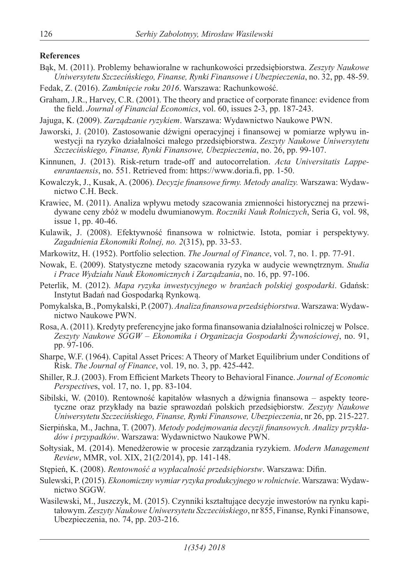#### **References**

- Bąk, M. (2011). Problemy behawioralne w rachunkowości przedsiębiorstwa. *Zeszyty Naukowe Uniwersytetu Szczecińskiego, Finanse, Rynki Finansowe i Ubezpieczenia*, no. 32, pp. 48-59.
- Fedak, Z. (2016). *Zamknięcie roku 2016*. Warszawa: Rachunkowość.
- Graham, J.R., Harvey, C.R. (2001). The theory and practice of corporate finance: evidence from the field. *Journal of Financial Economics*, vol. 60, issues 2-3, pp. 187-243.
- Jajuga, K. (2009). *Zarządzanie ryzykiem*. Warszawa: Wydawnictwo Naukowe PWN.
- Jaworski, J. (2010). Zastosowanie dźwigni operacyjnej i finansowej w pomiarze wpływu inwestycji na ryzyko działalności małego przedsiębiorstwa. *Zeszyty Naukowe Uniwersytetu Szczecińskiego, Finanse, Rynki Finansowe, Ubezpieczenia*, no. 26, pp. 99-107.
- Kinnunen, J. (2013). Risk-return trade-off and autocorrelation. *Acta Universitatis Lappeenrantaensis*, no. 551. Retrieved from: https://www.doria.fi, pp. 1-50.
- Kowalczyk, J., Kusak, A. (2006). *Decyzje finansowe firmy. Metody analizy.* Warszawa: Wydawnictwo C.H. Beck.
- Krawiec, M. (2011). Analiza wpływu metody szacowania zmienności historycznej na przewidywane ceny zbóż w modelu dwumianowym. *Roczniki Nauk Rolniczych*, Seria G, vol. 98, issue 1, pp. 40-46.
- Kulawik, J. (2008). Efektywność finansowa w rolnictwie. Istota, pomiar i perspektywy. *Zagadnienia Ekonomiki Rolnej, no. 2*(315), pp. 33-53.
- Markowitz, H. (1952). Portfolio selection. *The Journal of Finance*, vol. 7, no. 1. pp. 77-91.
- Nowak, E. (2009). Statystyczne metody szacowania ryzyka w audycie wewnętrznym. *Studia i Prace Wydziału Nauk Ekonomicznych i Zarządzania*, no. 16, pp. 97-106.
- Peterlik, M. (2012). *Mapa ryzyka inwestycyjnego w branżach polskiej gospodarki*. Gdańsk: Instytut Badań nad Gospodarką Rynkową.
- Pomykalska, B., Pomykalski, P. (2007). *Analiza finansowa przedsiębiorstwa*. Warszawa: Wydawnictwo Naukowe PWN.
- Rosa, A. (2011). Kredyty preferencyjne jako forma finansowania działalności rolniczej w Polsce. *Zeszyty Naukowe SGGW – Ekonomika i Organizacja Gospodarki Żywnościowej*, no. 91, pp. 97-106.
- Sharpe, W.F. (1964). Capital Asset Prices: A Theory of Market Equilibrium under Conditions of Risk. *The Journal of Finance*, vol. 19, no. 3, pp. 425-442.
- Shiller, R.J. (2003). From Efficient Markets Theory to Behavioral Finance. *Journal of Economic Perspective*s, vol. 17, no. 1, pp. 83-104.
- Sibilski, W. (2010). Rentowność kapitałów własnych a dźwignia finansowa aspekty teoretyczne oraz przykłady na bazie sprawozdań polskich przedsiębiorstw. *Zeszyty Naukowe Uniwersytetu Szczecińskiego, Finanse, Rynki Finansowe, Ubezpieczenia*, nr 26, pp. 215-227.
- Sierpińska, M., Jachna, T. (2007). *Metody podejmowania decyzji finansowych. Analizy przykładów i przypadków*. Warszawa: Wydawnictwo Naukowe PWN.
- Sołtysiak, M. (2014). Menedżerowie w procesie zarządzania ryzykiem. *Modern Management Review*, MMR, vol. XIX, 21(2/2014), pp. 141-148.
- Stępień, K. (2008). *Rentowność a wypłacalność przedsiębiorstw*. Warszawa: Difin.
- Sulewski, P. (2015). *Ekonomiczny wymiar ryzyka produkcyjnego w rolnictwie*. Warszawa: Wydawnictwo SGGW.
- Wasilewski, M., Juszczyk, M. (2015). Czynniki kształtujące decyzje inwestorów na rynku kapitałowym. *Zeszyty Naukowe Uniwersytetu Szczecińskiego*, nr 855, Finanse, Rynki Finansowe, Ubezpieczenia, no. 74, pp. 203-216.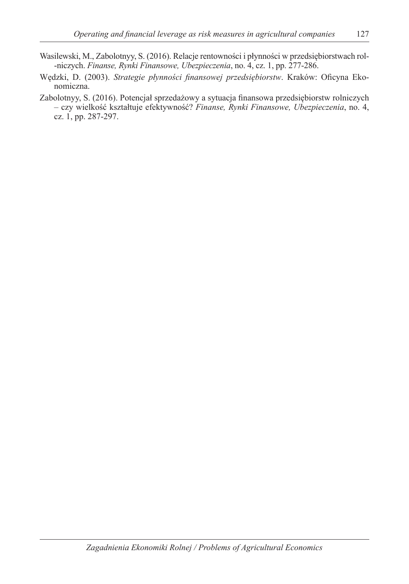- Wasilewski, M., Zabolotnyy, S. (2016). Relacje rentowności i płynności w przedsiębiorstwach rol- -niczych. *Finanse, Rynki Finansowe, Ubezpieczenia*, no. 4, cz. 1, pp. 277-286.
- Wędzki, D. (2003). *Strategie płynności finansowej przedsiębiorstw*. Kraków: Oficyna Ekonomiczna.
- Zabolotnyy, S. (2016). Potencjał sprzedażowy a sytuacja finansowa przedsiębiorstw rolniczych – czy wielkość kształtuje efektywność? *Finanse, Rynki Finansowe, Ubezpieczenia*, no. 4, cz. 1, pp. 287-297.